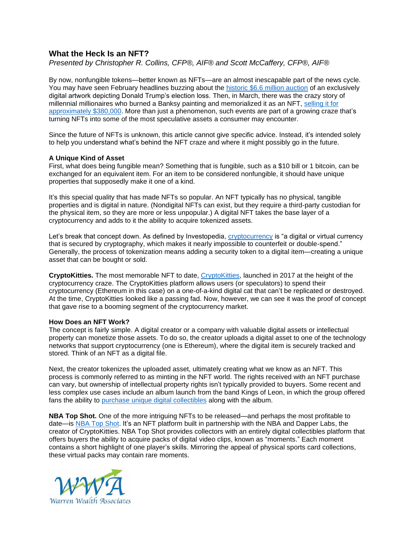## **What the Heck Is an NFT?**

*Presented by Christopher R. Collins, CFP®, AIF® and Scott McCaffery, CFP®, AIF®*

By now, nonfungible tokens—better known as NFTs—are an almost inescapable part of the news cycle. You may have seen February headlines buzzing about the [historic \\$6.6 million auction](https://cryptonews.com/news/defeated-donald-trump-themed-nft-sells-for-usd-6-6-million-9338.htm) of an exclusively digital artwork depicting Donald Trump's election loss. Then, in March, there was the crazy story of millennial millionaires who burned a Banksy painting and memorialized it as an NFT[, selling it for](https://www.coindesk.com/burnt-banksy-nft-sells-for-380k-in-eth)  [approximately \\$380,000.](https://www.coindesk.com/burnt-banksy-nft-sells-for-380k-in-eth) More than just a phenomenon, such events are part of a growing craze that's turning NFTs into some of the most speculative assets a consumer may encounter.

Since the future of NFTs is unknown, this article cannot give specific advice. Instead, it's intended solely to help you understand what's behind the NFT craze and where it might possibly go in the future.

## **A Unique Kind of Asset**

First, what does being fungible mean? Something that is fungible, such as a \$10 bill or 1 bitcoin, can be exchanged for an equivalent item. For an item to be considered nonfungible, it should have unique properties that supposedly make it one of a kind.

It's this special quality that has made NFTs so popular. An NFT typically has no physical, tangible properties and is digital in nature. (Nondigital NFTs can exist, but they require a third-party custodian for the physical item, so they are more or less unpopular.) A digital NFT takes the base layer of a cryptocurrency and adds to it the ability to acquire tokenized assets.

Let's break that concept down. As defined by Investopedia, [cryptocurrency](https://www.investopedia.com/terms/c/cryptocurrency.asp) is "a digital or virtual currency that is secured by cryptography, which makes it nearly impossible to counterfeit or double-spend." Generally, the process of tokenization means adding a security token to a digital item—creating a unique asset that can be bought or sold.

**CryptoKitties.** The most memorable NFT to date, [CryptoKitties,](https://www.cryptokitties.co/) launched in 2017 at the height of the cryptocurrency craze. The CryptoKitties platform allows users (or speculators) to spend their cryptocurrency (Ethereum in this case) on a one-of-a-kind digital cat that can't be replicated or destroyed. At the time, CryptoKitties looked like a passing fad. Now, however, we can see it was the proof of concept that gave rise to a booming segment of the cryptocurrency market.

## **How Does an NFT Work?**

The concept is fairly simple. A digital creator or a company with valuable digital assets or intellectual property can monetize those assets. To do so, the creator uploads a digital asset to one of the technology networks that support cryptocurrency (one is Ethereum), where the digital item is securely tracked and stored. Think of an NFT as a digital file.

Next, the creator tokenizes the uploaded asset, ultimately creating what we know as an NFT. This process is commonly referred to as minting in the NFT world. The rights received with an NFT purchase can vary, but ownership of intellectual property rights isn't typically provided to buyers. Some recent and less complex use cases include an album launch from the band Kings of Leon, in which the group offered fans the ability to [purchase unique digital collectibles](https://www.rollingstone.com/pro/news/kings-of-leon-when-you-see-yourself-album-nft-crypto-1135192/) along with the album.

**NBA Top Shot.** One of the more intriguing NFTs to be released—and perhaps the most profitable to date—is [NBA Top](https://nbatopshot.com/) Shot. It's an NFT platform built in partnership with the NBA and Dapper Labs, the creator of CryptoKitties. NBA Top Shot provides collectors with an entirely digital collectibles platform that offers buyers the ability to acquire packs of digital video clips, known as "moments." Each moment contains a short highlight of one player's skills. Mirroring the appeal of physical sports card collections, these virtual packs may contain rare moments.